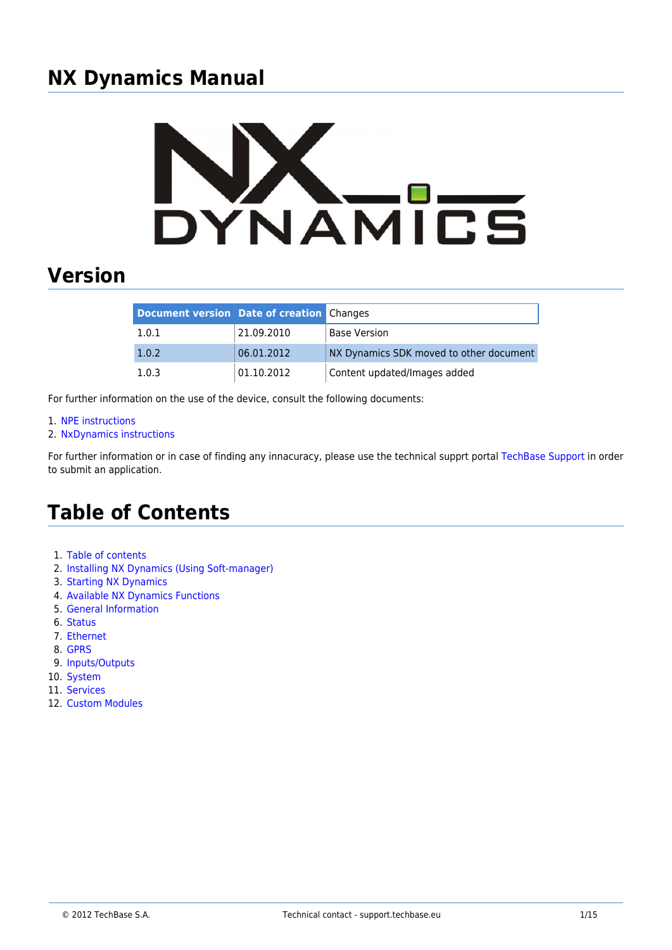# **NX Dynamics Manual**



# **Version**

| <b>Document version Date of creation Changes</b> |            |                                         |
|--------------------------------------------------|------------|-----------------------------------------|
| 1.0.1                                            | 21.09.2010 | <b>Base Version</b>                     |
| 1.0.2                                            | 06.01.2012 | NX Dynamics SDK moved to other document |
| 1.0.3                                            | 01.10.2012 | Content updated/Images added            |

For further information on the use of the device, consult the following documents:

- 1. [NPE instructions](http://www.a2s.pl/products/npe/pdf/NPE-instrukcja_PZA2S.pdf)
- 2. [NxDynamics instructions](http://www.a2s.pl/nx-dynamics-p-6609.html)

For further information or in case of finding any innacuracy, please use the technical supprt portal [TechBase Support](http://support.techbase.eu) in order to submit an application.

# **Table of Contents**

- 1. [Table of contents](http://morena.homeip.net/doku.php?id=nx:table_of_contents)
- 2. [Installing NX Dynamics \(Using Soft-manager\)](http://morena.homeip.net/doku.php?id=nx:installing_nxdynamics)
- 3. [Starting NX Dynamics](http://morena.homeip.net/doku.php?id=nx:starting_nxdynamics)
- 4. [Available NX Dynamics Functions](http://morena.homeip.net/doku.php?id=nx:nxdynamics_functions)
- 5. [General Information](http://morena.homeip.net/doku.php?id=nx:general_information)
- 6. [Status](http://morena.homeip.net/doku.php?id=nx:status)
- 7. [Ethernet](http://morena.homeip.net/doku.php?id=nx:ethernet)
- 8. [GPRS](http://morena.homeip.net/doku.php?id=nx:gprs)
- 9. [Inputs/Outputs](http://morena.homeip.net/doku.php?id=nx:inputs_outputs)
- 10. [System](http://morena.homeip.net/doku.php?id=nx:system)
- 11. [Services](http://morena.homeip.net/doku.php?id=nx:services)
- 12. [Custom Modules](http://morena.homeip.net/doku.php?id=nx:custom_modules)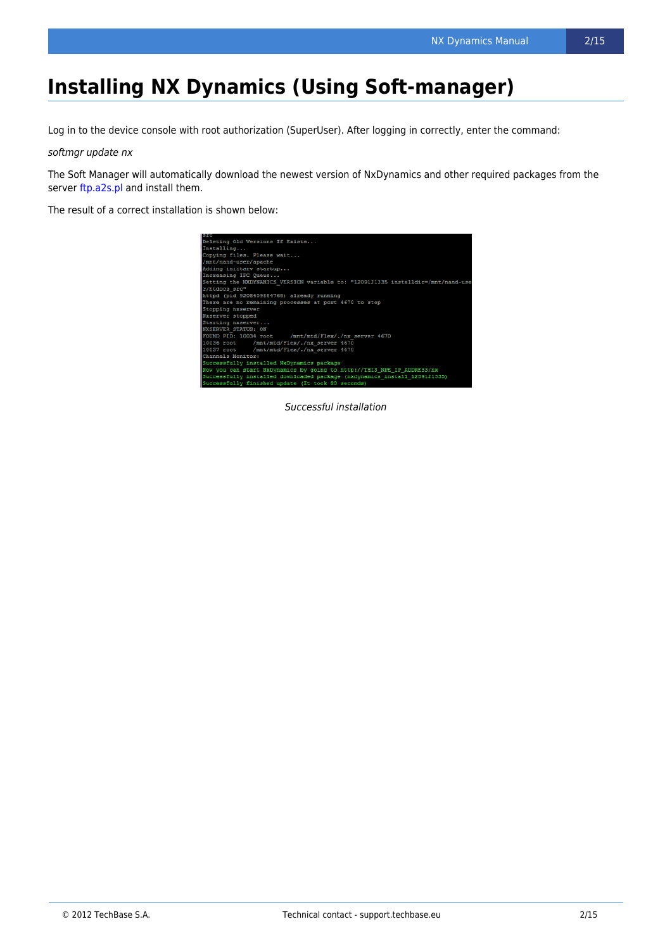# **Installing NX Dynamics (Using Soft-manager)**

Log in to the device console with root authorization (SuperUser). After logging in correctly, enter the command:

softmgr update nx

The Soft Manager will automatically download the newest version of NxDynamics and other required packages from the server [ftp.a2s.pl](ftp://ftp.a2s.pl) and install them.

The result of a correct installation is shown below:



Successful installation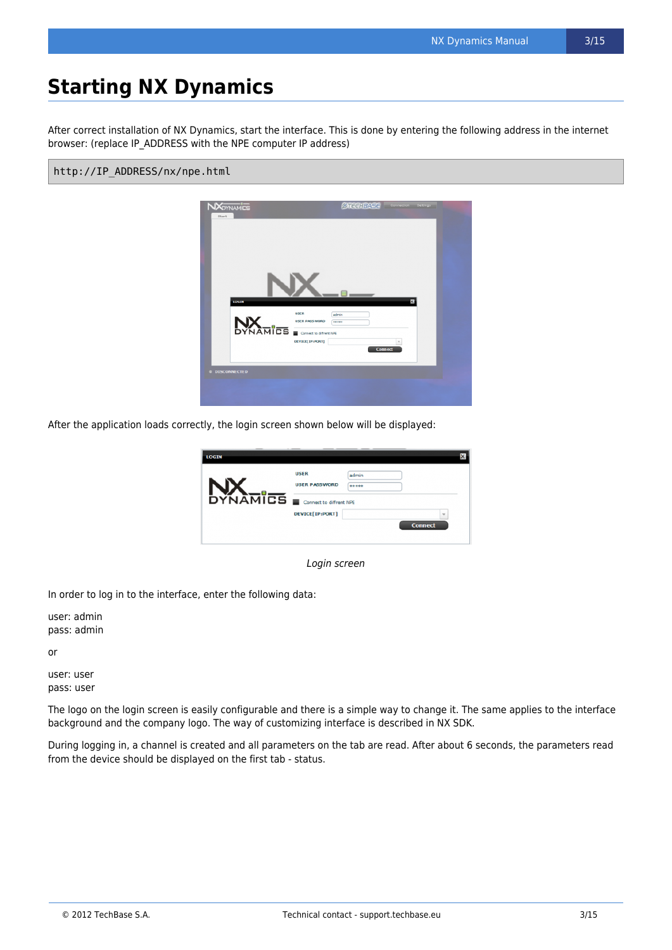After correct installation of NX Dynamics, start the interface. This is done by entering the following address in the internet browser: (replace IP\_ADDRESS with the NPE computer IP address)

#### http://IP\_ADDRESS/nx/npe.html



After the application loads correctly, the login screen shown below will be displayed:



Login screen

In order to log in to the interface, enter the following data:

user: admin pass: admin

or

user: user pass: user

The logo on the login screen is easily configurable and there is a simple way to change it. The same applies to the interface background and the company logo. The way of customizing interface is described in NX SDK.

During logging in, a channel is created and all parameters on the tab are read. After about 6 seconds, the parameters read from the device should be displayed on the first tab - status.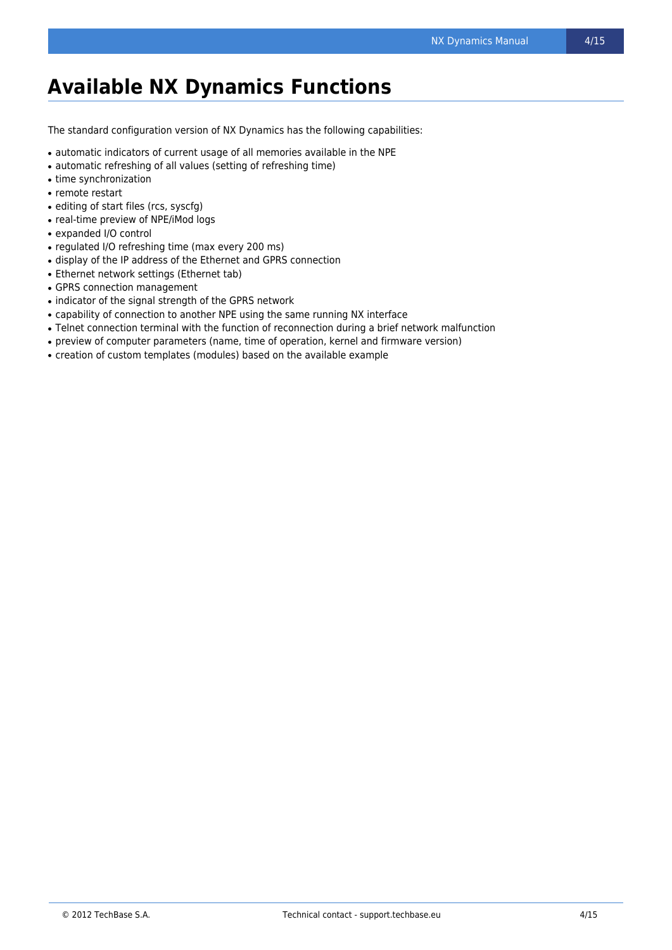# **Available NX Dynamics Functions**

The standard configuration version of NX Dynamics has the following capabilities:

- automatic indicators of current usage of all memories available in the NPE
- automatic refreshing of all values (setting of refreshing time)
- time synchronization
- remote restart
- editing of start files (rcs, syscfg)
- real-time preview of NPE/iMod logs
- expanded I/O control
- regulated I/O refreshing time (max every 200 ms)
- display of the IP address of the Ethernet and GPRS connection
- Ethernet network settings (Ethernet tab)
- GPRS connection management
- indicator of the signal strength of the GPRS network
- capability of connection to another NPE using the same running NX interface
- Telnet connection terminal with the function of reconnection during a brief network malfunction
- preview of computer parameters (name, time of operation, kernel and firmware version)
- creation of custom templates (modules) based on the available example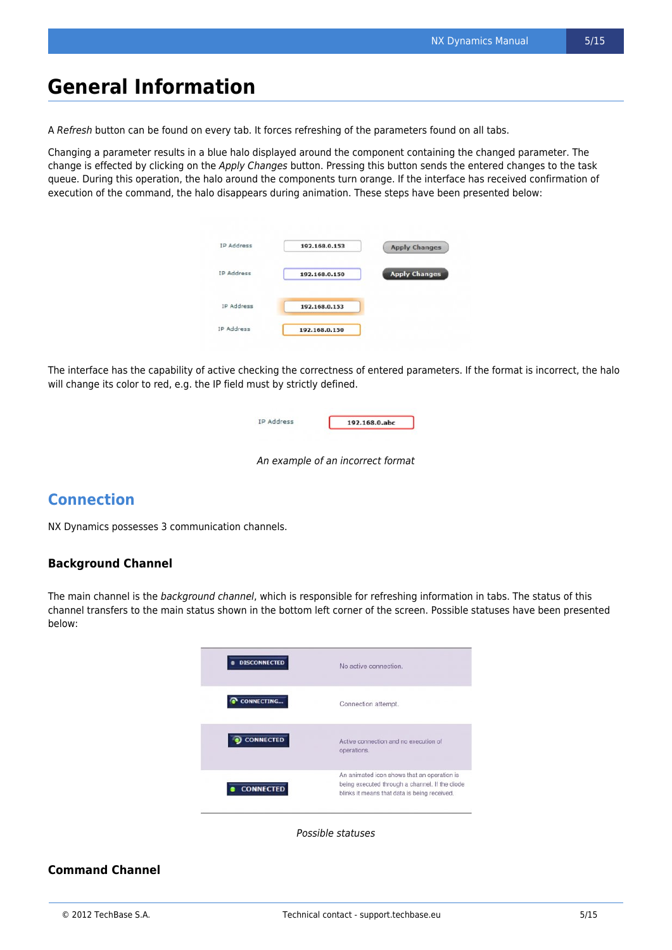### **General Information**

A Refresh button can be found on every tab. It forces refreshing of the parameters found on all tabs.

Changing a parameter results in a blue halo displayed around the component containing the changed parameter. The change is effected by clicking on the Apply Changes button. Pressing this button sends the entered changes to the task queue. During this operation, the halo around the components turn orange. If the interface has received confirmation of execution of the command, the halo disappears during animation. These steps have been presented below:

| IP Address | 192.168.0.153 | <b>Apply Changes</b> |
|------------|---------------|----------------------|
| IP Address | 192.168.0.150 | <b>Apply Changes</b> |
| IP Address | 192.168.0.153 |                      |
| IP Address | 192.168.0.150 |                      |

The interface has the capability of active checking the correctness of entered parameters. If the format is incorrect, the halo will change its color to red, e.g. the IP field must by strictly defined.

| IP Address | 192.168.0.abc |  |  |
|------------|---------------|--|--|
|            |               |  |  |

An example of an incorrect format

### **Connection**

NX Dynamics possesses 3 communication channels.

#### **Background Channel**

The main channel is the background channel, which is responsible for refreshing information in tabs. The status of this channel transfers to the main status shown in the bottom left corner of the screen. Possible statuses have been presented below:



Possible statuses

#### **Command Channel**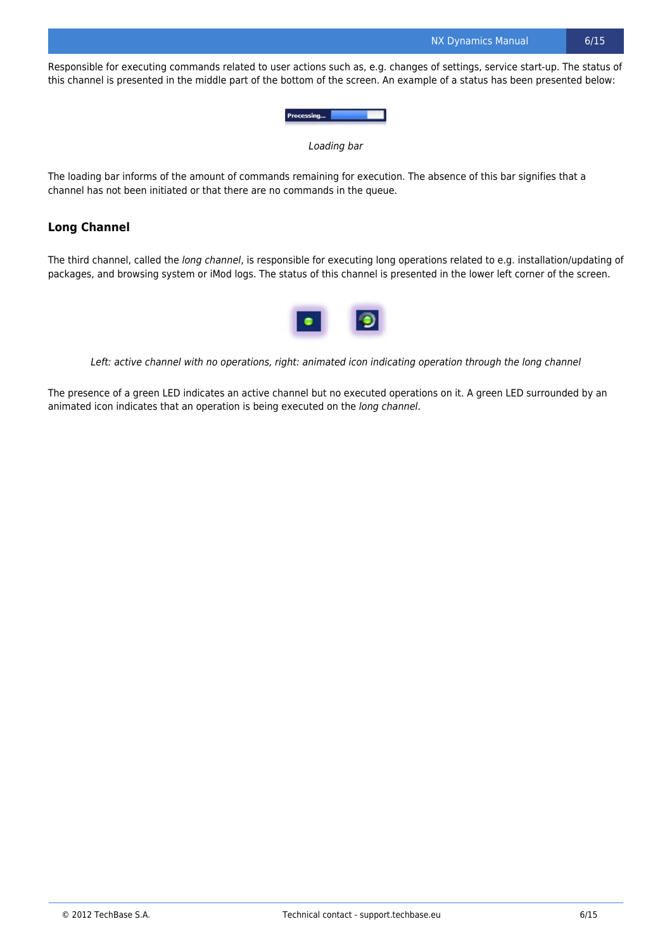Responsible for executing commands related to user actions such as, e.g. changes of settings, service start-up. The status of this channel is presented in the middle part of the bottom of the screen. An example of a status has been presented below:



Loading bar

The loading bar informs of the amount of commands remaining for execution. The absence of this bar signifies that a channel has not been initiated or that there are no commands in the queue.

#### **Long Channel**

The third channel, called the long channel, is responsible for executing long operations related to e.g. installation/updating of packages, and browsing system or iMod logs. The status of this channel is presented in the lower left corner of the screen.



Left: active channel with no operations, right: animated icon indicating operation through the long channel

The presence of a green LED indicates an active channel but no executed operations on it. A green LED surrounded by an animated icon indicates that an operation is being executed on the long channel.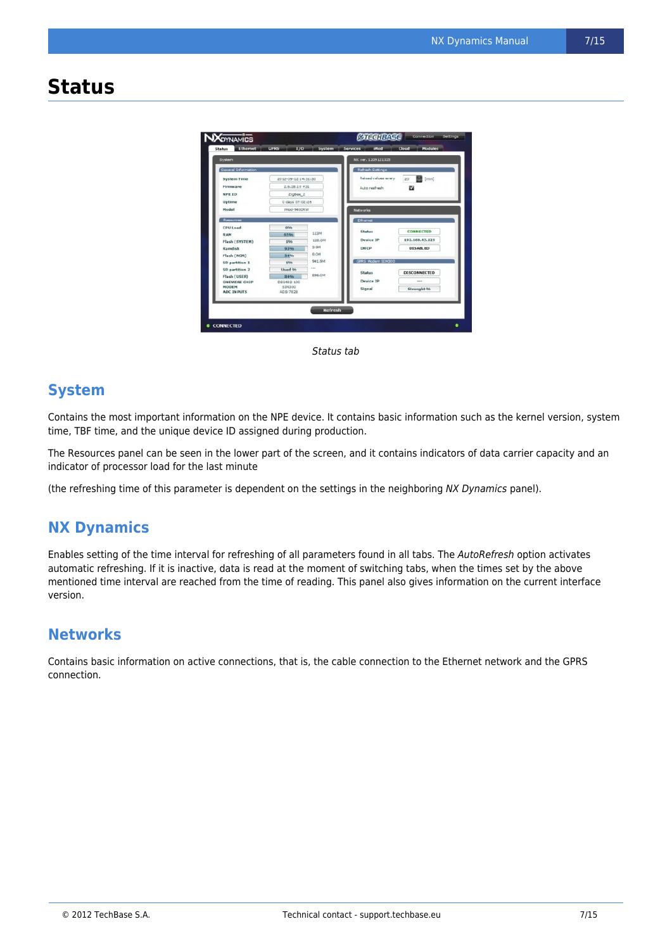### **Status**



Status tab

### **System**

Contains the most important information on the NPE device. It contains basic information such as the kernel version, system time, TBF time, and the unique device ID assigned during production.

The Resources panel can be seen in the lower part of the screen, and it contains indicators of data carrier capacity and an indicator of processor load for the last minute

(the refreshing time of this parameter is dependent on the settings in the neighboring NX Dynamics panel).

### **NX Dynamics**

Enables setting of the time interval for refreshing of all parameters found in all tabs. The AutoRefresh option activates automatic refreshing. If it is inactive, data is read at the moment of switching tabs, when the times set by the above mentioned time interval are reached from the time of reading. This panel also gives information on the current interface version.

### **Networks**

Contains basic information on active connections, that is, the cable connection to the Ethernet network and the GPRS connection.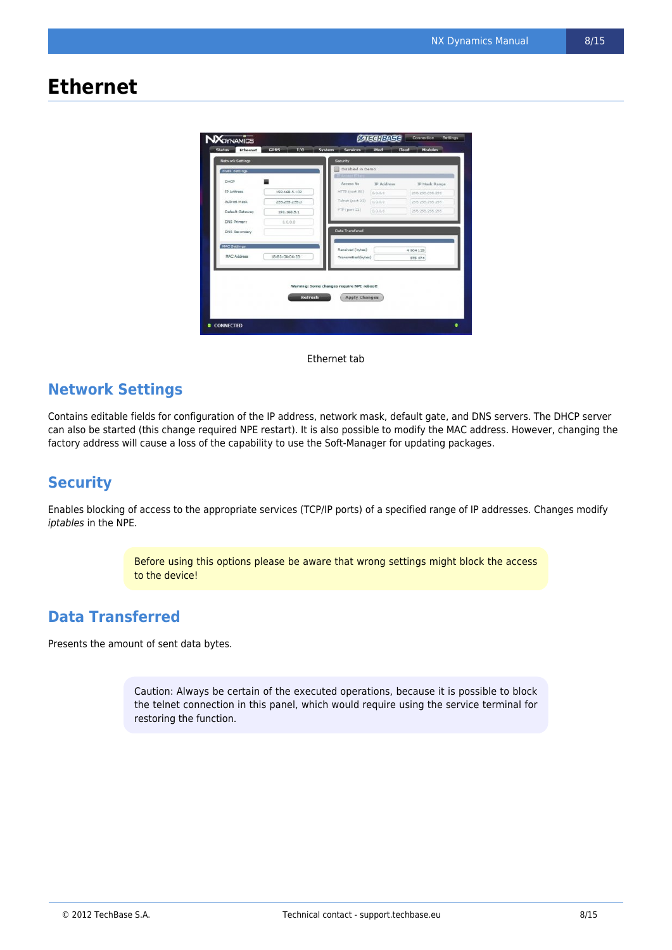## **Ethernet**



Ethernet tab

### **Network Settings**

Contains editable fields for configuration of the IP address, network mask, default gate, and DNS servers. The DHCP server can also be started (this change required NPE restart). It is also possible to modify the MAC address. However, changing the factory address will cause a loss of the capability to use the Soft-Manager for updating packages.

### **Security**

Enables blocking of access to the appropriate services (TCP/IP ports) of a specified range of IP addresses. Changes modify iptables in the NPE.

> Before using this options please be aware that wrong settings might block the access to the device!

### **Data Transferred**

Presents the amount of sent data bytes.

Caution: Always be certain of the executed operations, because it is possible to block the telnet connection in this panel, which would require using the service terminal for restoring the function.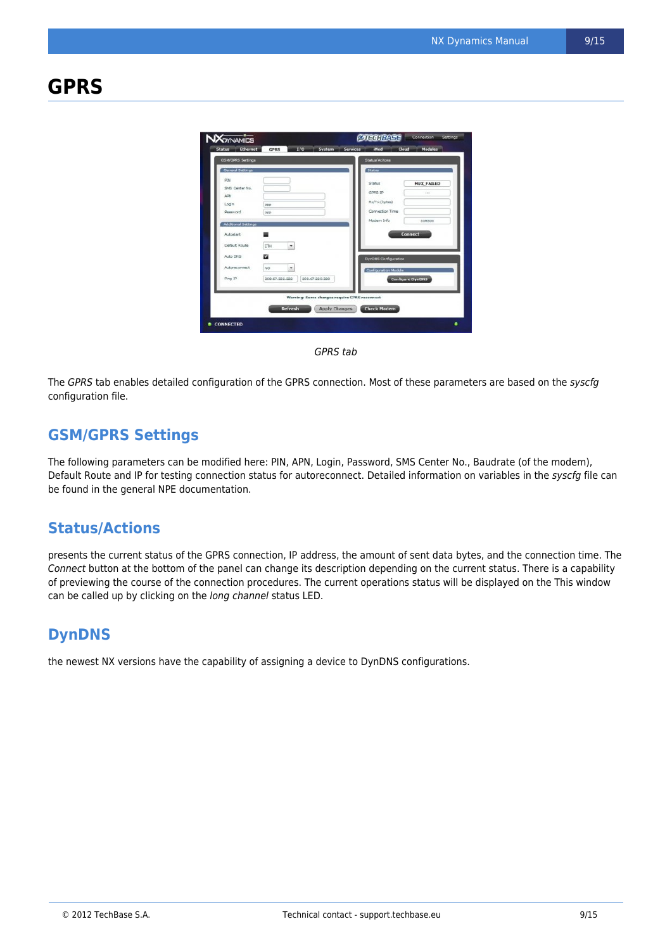# **GPRS**

| <b>GSM/GPRS Settings</b><br><b>General Settings</b> |                                                        | <b>Status/Acitons</b><br>Status                       |                              |
|-----------------------------------------------------|--------------------------------------------------------|-------------------------------------------------------|------------------------------|
| PIN<br>SMS Center No.<br>ADN<br>Login<br>Password   | ppp<br>ppp                                             | Status<br>GPRS IP<br>Rx/Tx (bytes)<br>Connection Time | <b>MUX_FAILED</b><br>$-10-1$ |
| <b>Additional Settings</b><br>Autostart             |                                                        | Modern Info                                           | SIM300<br><b>Connect</b>     |
| Default Route<br>Auto DNS<br>Autoreconnect          | $\overline{\phantom{a}}$<br><b>ETH</b><br>M<br>٠<br>NO | <b>DynDNS Configuration</b><br>Configuration Module   |                              |
| Ping IP                                             | 208.67.220.220<br>208.67.222.222                       |                                                       | <b>Configure DynDNS</b>      |
|                                                     | Warning: Some changes require GPRS reconnect           |                                                       |                              |

GPRS tab

The GPRS tab enables detailed configuration of the GPRS connection. Most of these parameters are based on the syscfg configuration file.

### **GSM/GPRS Settings**

The following parameters can be modified here: PIN, APN, Login, Password, SMS Center No., Baudrate (of the modem), Default Route and IP for testing connection status for autoreconnect. Detailed information on variables in the syscfg file can be found in the general NPE documentation.

#### **Status/Actions**

presents the current status of the GPRS connection, IP address, the amount of sent data bytes, and the connection time. The Connect button at the bottom of the panel can change its description depending on the current status. There is a capability of previewing the course of the connection procedures. The current operations status will be displayed on the This window can be called up by clicking on the long channel status LED.

### **DynDNS**

the newest NX versions have the capability of assigning a device to DynDNS configurations.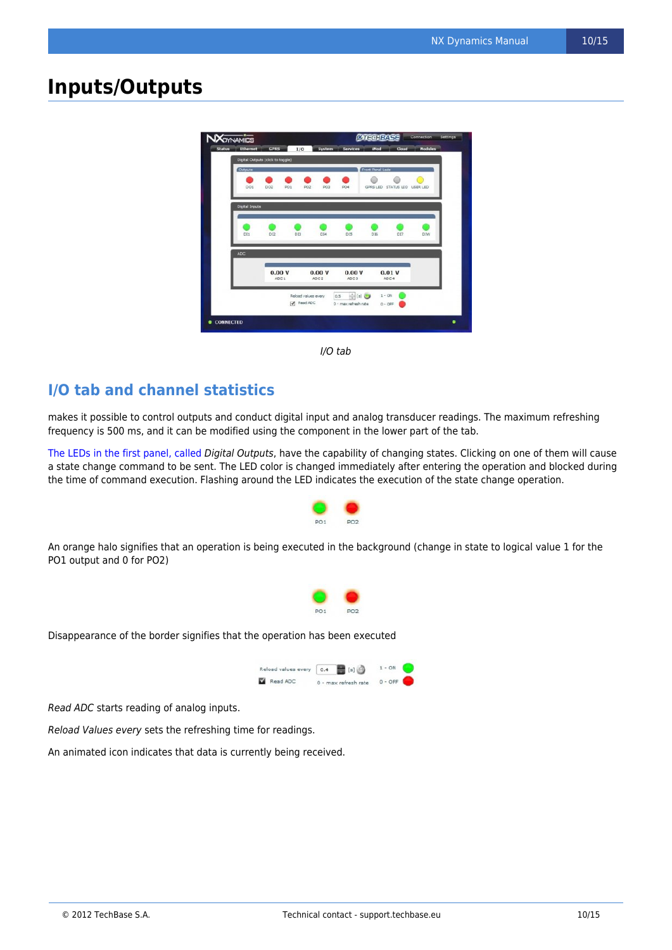### **Inputs/Outputs**



I/O tab

### **I/O tab and channel statistics**

makes it possible to control outputs and conduct digital input and analog transducer readings. The maximum refreshing frequency is 500 ms, and it can be modified using the component in the lower part of the tab.

[The LEDs in the first panel, called](http://morena.homeip.net/lib/exe/fetch.php?media=nx:led.jpg) Digital Outputs, have the capability of changing states. Clicking on one of them will cause a state change command to be sent. The LED color is changed immediately after entering the operation and blocked during the time of command execution. Flashing around the LED indicates the execution of the state change operation.



An orange halo signifies that an operation is being executed in the background (change in state to logical value 1 for the PO1 output and 0 for PO2)



Disappearance of the border signifies that the operation has been executed



Read ADC starts reading of analog inputs.

Reload Values every sets the refreshing time for readings.

An animated icon indicates that data is currently being received.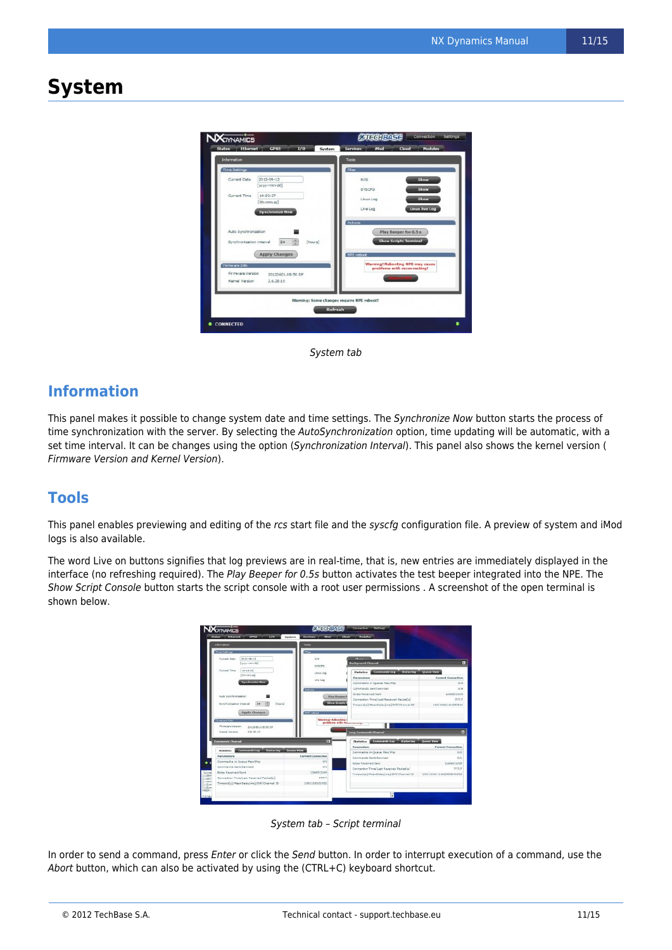### **System**



System tab

### **Information**

This panel makes it possible to change system date and time settings. The Synchronize Now button starts the process of time synchronization with the server. By selecting the AutoSynchronization option, time updating will be automatic, with a set time interval. It can be changes using the option (Synchronization Interval). This panel also shows the kernel version ( Firmware Version and Kernel Version).

### **Tools**

This panel enables previewing and editing of the rcs start file and the syscfg configuration file. A preview of system and iMod logs is also available.

The word Live on buttons signifies that log previews are in real-time, that is, new entries are immediately displayed in the interface (no refreshing required). The Play Beeper for 0.5s button activates the test beeper integrated into the NPE. The Show Script Console button starts the script console with a root user permissions . A screenshot of the open terminal is shown below.



System tab – Script terminal

In order to send a command, press Enter or click the Send button. In order to interrupt execution of a command, use the Abort button, which can also be activated by using the (CTRL+C) keyboard shortcut.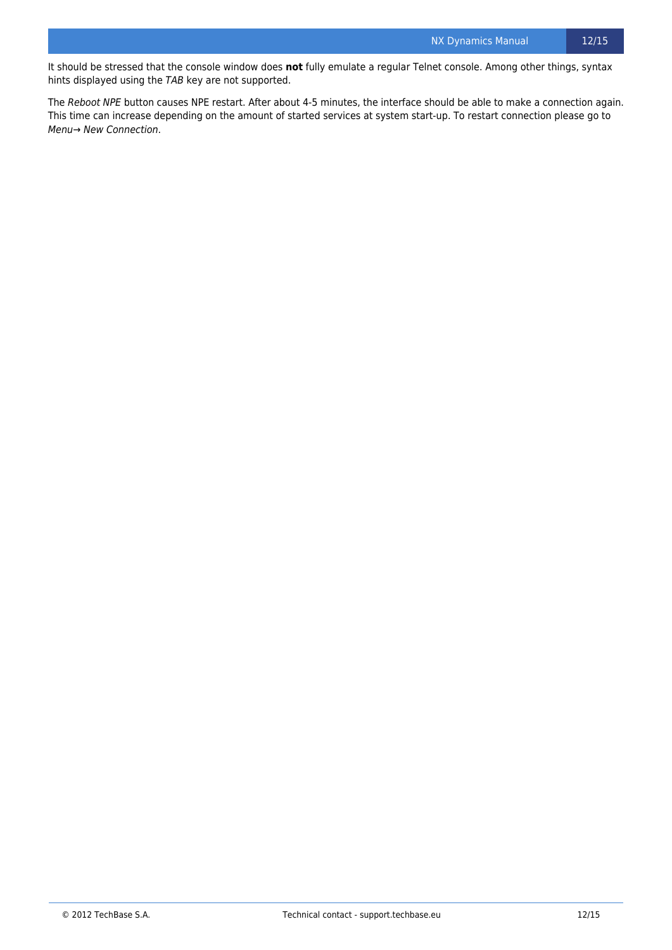It should be stressed that the console window does **not** fully emulate a regular Telnet console. Among other things, syntax hints displayed using the TAB key are not supported.

The Reboot NPE button causes NPE restart. After about 4-5 minutes, the interface should be able to make a connection again. This time can increase depending on the amount of started services at system start-up. To restart connection please go to Menu→ New Connection.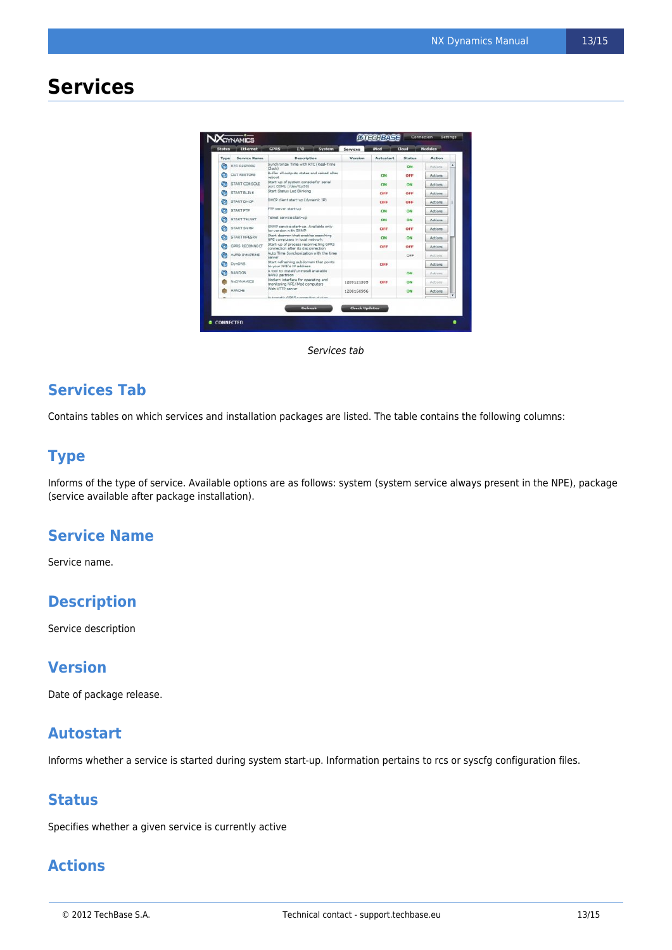## **Services**

| Status | <b>Ethernet</b>       |                                                                             | T/O     | System                                     | Services             | <b>IMad</b>      | Cloud   | <b>Modules</b> |  |
|--------|-----------------------|-----------------------------------------------------------------------------|---------|--------------------------------------------|----------------------|------------------|---------|----------------|--|
| Type   | Service Name          | <b>Description</b>                                                          |         |                                            | Version              | <b>Autostart</b> | Status  | <b>Action</b>  |  |
| ٥      | RTC RESTORE           | Synchronize Time with RTC (Real-Time<br>Clock)                              |         |                                            |                      | ON.              | Actions |                |  |
| G      | OUT RESTORE           | reboot                                                                      |         | Buffer all outputs states and reload after |                      | ON               | OFF     | Actions        |  |
| ۵      | <b>START CONSOLE</b>  | Start-up of system console for serial<br>port COM1 (/dev/ttyS0)             |         |                                            |                      | O <sub>0</sub>   | ON      | Actions        |  |
| o      | <b>START BLINK</b>    | Start Status Led Blinking                                                   |         |                                            |                      | OFF              | OFF     | Actions        |  |
| Q      | <b>START DHCP</b>     | DHCP client start-up (dynamic IP)                                           |         |                                            |                      | OFF              | OFF     | Actions        |  |
| ٥      | <b>START FTP</b>      | FTP server start-up                                                         |         |                                            |                      | ON               | ON      | <b>Actions</b> |  |
| o      | START TELNET          | Telnet service start-up                                                     |         |                                            |                      | ON               | ON      | Actions        |  |
| ۹      | START SNMP            | SNMP service start-up. Available only<br>for version with SNMP              |         |                                            |                      | OFF              | OFF     | Actions        |  |
| ø      | START NPESRV          | litart dearnon that enables searching<br>NPE computers in local network     |         |                                            |                      | ON               | ON      | Actions        |  |
| Q      | <b>GDRS RECONNECT</b> | Start-up of process reconnecting GPRS<br>connection after its disconnection |         |                                            |                      | OFF              | OFF     | Actions        |  |
| G      | ALITO SYNCTIME        | Auto Time Synchonization with the time<br>server                            |         |                                            |                      |                  | OFF     | Actions        |  |
| ۵      | <b>DynDNS</b>         | Start refreshing subdomain that points<br>to your NPE's IP address          |         |                                            |                      | OFF              |         | Actions        |  |
| G      | <b>NANDON</b>         | A tool to Install/Uninstall available<br>NAND partition                     |         |                                            |                      |                  | ON      | Actions        |  |
|        | <b>N&gt;DYN AMICS</b> | Modern interface for operating and<br>monitoring NPE/iMod computers         |         |                                            | 1209121335           | OFF              | ON      | Actions        |  |
|        | <b>APACHE</b>         | Web HTTP server                                                             |         |                                            | 1208160956           |                  | ON      | Actions        |  |
|        |                       | Automatic GDRS connection during                                            |         |                                            |                      |                  |         |                |  |
|        |                       |                                                                             | Refresh |                                            | <b>Check Updates</b> |                  |         |                |  |

Services tab

### **Services Tab**

Contains tables on which services and installation packages are listed. The table contains the following columns:

### **Type**

Informs of the type of service. Available options are as follows: system (system service always present in the NPE), package (service available after package installation).

### **Service Name**

Service name.

### **Description**

Service description

### **Version**

Date of package release.

#### **Autostart**

Informs whether a service is started during system start-up. Information pertains to rcs or syscfg configuration files.

#### **Status**

Specifies whether a given service is currently active

### **Actions**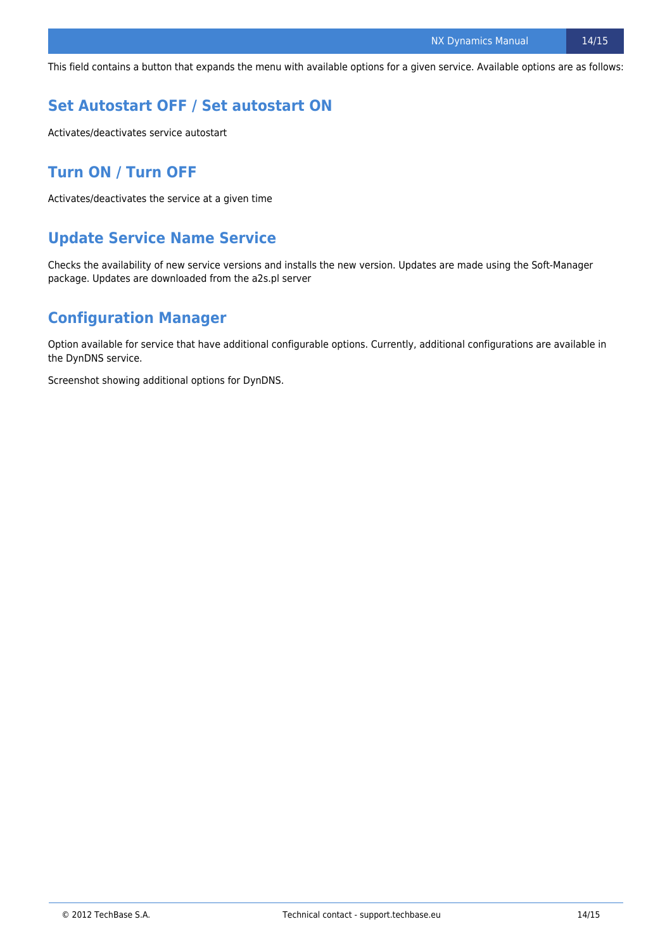This field contains a button that expands the menu with available options for a given service. Available options are as follows:

### **Set Autostart OFF / Set autostart ON**

Activates/deactivates service autostart

### **Turn ON / Turn OFF**

Activates/deactivates the service at a given time

### **Update Service Name Service**

Checks the availability of new service versions and installs the new version. Updates are made using the Soft-Manager package. Updates are downloaded from the a2s.pl server

### **Configuration Manager**

Option available for service that have additional configurable options. Currently, additional configurations are available in the DynDNS service.

Screenshot showing additional options for DynDNS.